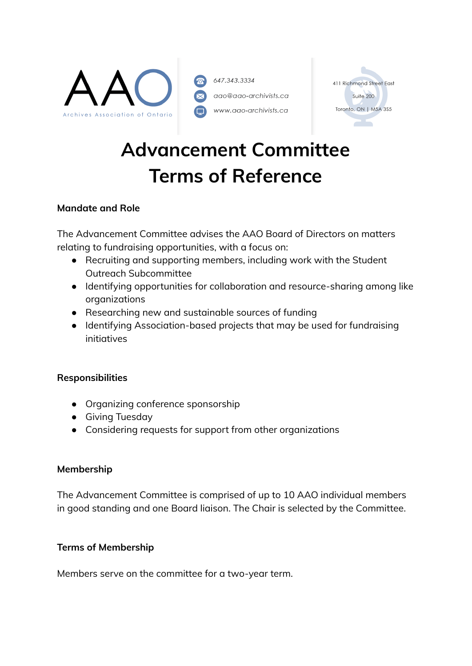

647.343.3334 aao@aao-archivists.ca www.aao-archivists.ca



# **Advancement Committee Terms of Reference**

## **Mandate and Role**

The Advancement Committee advises the AAO Board of Directors on matters relating to fundraising opportunities, with a focus on:

- Recruiting and supporting members, including work with the Student Outreach Subcommittee
- Identifying opportunities for collaboration and resource-sharing among like organizations
- Researching new and sustainable sources of funding
- Identifying Association-based projects that may be used for fundraising initiatives

#### **Responsibilities**

- Organizing conference sponsorship
- Giving Tuesday
- Considering requests for support from other organizations

#### **Membership**

The Advancement Committee is comprised of up to 10 AAO individual members in good standing and one Board liaison. The Chair is selected by the Committee.

#### **Terms of Membership**

Members serve on the committee for a two-year term.